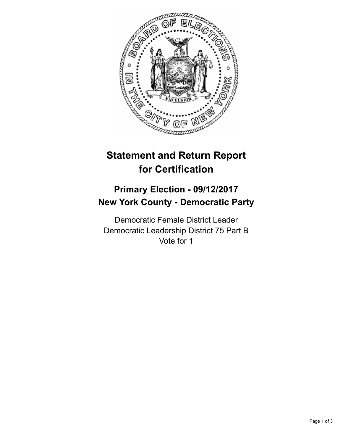

## **Statement and Return Report for Certification**

## **Primary Election - 09/12/2017 New York County - Democratic Party**

Democratic Female District Leader Democratic Leadership District 75 Part B Vote for 1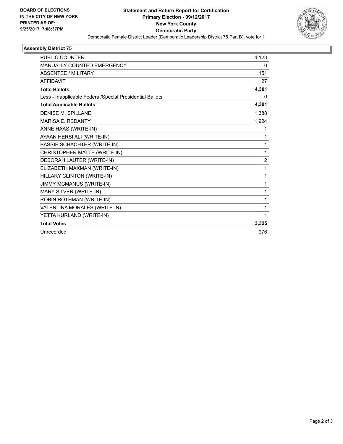

## **Assembly District 75**

| <b>PUBLIC COUNTER</b>                                    | 4,123          |
|----------------------------------------------------------|----------------|
| <b>MANUALLY COUNTED EMERGENCY</b>                        | 0              |
| <b>ABSENTEE / MILITARY</b>                               | 151            |
| <b>AFFIDAVIT</b>                                         | 27             |
| <b>Total Ballots</b>                                     | 4,301          |
| Less - Inapplicable Federal/Special Presidential Ballots | 0              |
| <b>Total Applicable Ballots</b>                          | 4,301          |
| <b>DENISE M. SPILLANE</b>                                | 1,388          |
| <b>MARISA E. REDANTY</b>                                 | 1,924          |
| ANNE HAAS (WRITE-IN)                                     | 1              |
| AYAAN HERSI ALI (WRITE-IN)                               | 1              |
| <b>BASSIE SCHACHTER (WRITE-IN)</b>                       | 1              |
| CHRISTOPHER MATTE (WRITE-IN)                             | 1              |
| DEBORAH LAUTER (WRITE-IN)                                | $\overline{2}$ |
| ELIZABETH MAXMAN (WRITE-IN)                              | 1              |
| HILLARY CLINTON (WRITE-IN)                               | 1              |
| <b>JIMMY MCMANUS (WRITE-IN)</b>                          | 1              |
| MARY SILVER (WRITE-IN)                                   | 1              |
| ROBIN ROTHMAN (WRITE-IN)                                 | 1              |
| VALENTINA MORALES (WRITE-IN)                             | 1              |
| YETTA KURLAND (WRITE-IN)                                 | 1              |
| <b>Total Votes</b>                                       | 3,325          |
| Unrecorded                                               | 976            |